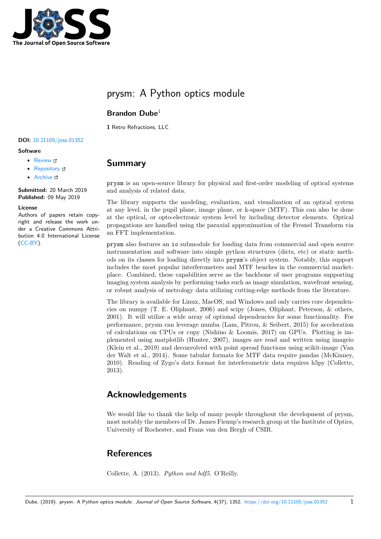

# prysm: A Python optics module

### **Brandon Dube**<sup>1</sup>

**1** Retro Refractions, LLC

#### **DOI:** 10.21105/joss.01352

**Software**

- Review &
- [Repository](https://doi.org/10.21105/joss.01352) C
- Archive

**Subm[itted:](https://github.com/openjournals/joss-reviews/issues/1352)** 20 March 2019 **Published:** [09 M](https://github.com/brandondube/prysm)ay 2019

#### **Licen[se](https://doi.org/10.5281/zenodo.2672954)**

Authors of papers retain copyright and release the work under a Creative Commons Attribution 4.0 International License (CC-BY).

### **Summary**

prysm is an open-source library for physical and first-order modeling of optical systems and analysis of related data.

The library supports the modeling, evaluation, and visualization of an optical system at any level, in the pupil plane, image plane, or k-space (MTF). This can also be done at the optical, or opto-electronic system level by including detector elements. Optical propagations are handled using the paraxial approximation of the Fresnel Transform via an FFT implementation.

prysm also features an io submodule for loading data from commercial and open source instrumentation and software into simple python structures (dicts, etc) or static methods on its classes for loading directly into prysm's object system. Notably, this support includes the most popular interferometers and MTF benches in the commercial marketplace. Combined, these capabilities serve as the backbone of user programs supporting imaging system analysis by performing tasks such as image simulation, wavefront sensing, or robust analysis of metrology data utilizing cutting-edge methods from the literature.

The library is available for Linux, MacOS, and Windows and only carries core dependencies on numpy (T. E. Oliphant, 2006) and scipy (Jones, Oliphant, Peterson, & others, 2001). It will utilize a wide array of optional dependencies for some functionality. For performance, prysm can leverage numba (Lam, Pitrou, & Seibert, 2015) for acceleration of calculations on CPUs or cupy (Nishino  $&$  Loomis, 2017) on GPUs. Plotting is implemented using matplotlib (Hunter, 2007), images are read and written using imageio (Klein et al., 2019) and deconvolved with point spread functions using scikit-image (Van der Walt et al., 2014). Some tabular formats for MTF data require pandas (McKinney, 2010). Reading of Zygo's datx format for interferometric data requires h5py (Collette, 2013).

## **Acknowledgements**

We would like to thank the help of many people throughout the development of prysm, most notably the members of Dr. James Fienup's research group at the Institute of Optics, University of Rochester, and Frans van den Bergh of CSIR.

## **References**

Collette, A. (2013). *Python and hdf5*. O'Reilly.